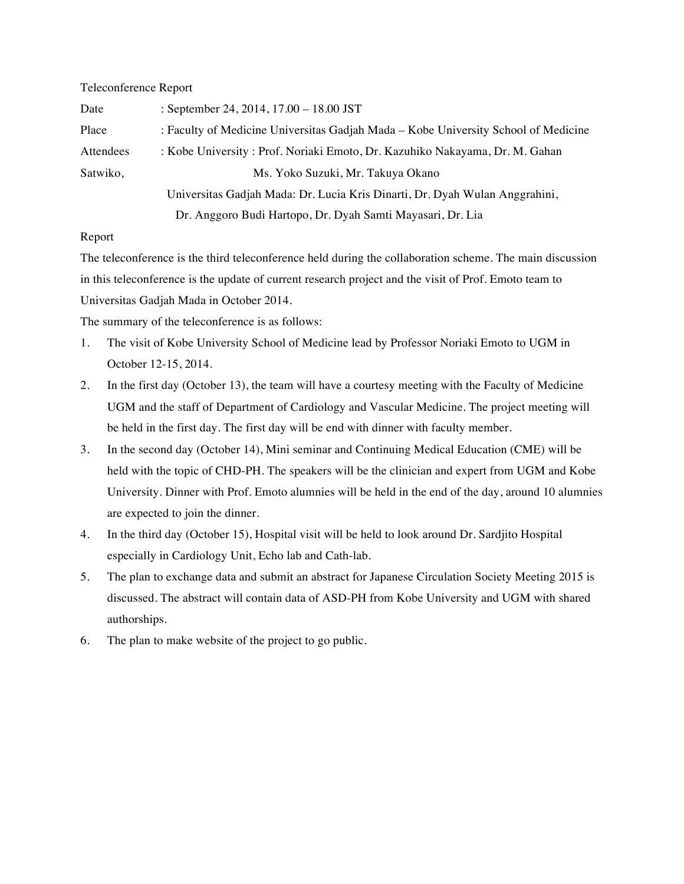## Teleconference Report

| Date      | : September 24, 2014, $17.00 - 18.00$ JST                                          |
|-----------|------------------------------------------------------------------------------------|
| Place     | : Faculty of Medicine Universitas Gadjah Mada - Kobe University School of Medicine |
| Attendees | : Kobe University : Prof. Noriaki Emoto, Dr. Kazuhiko Nakayama, Dr. M. Gahan       |
| Satwiko,  | Ms. Yoko Suzuki, Mr. Takuya Okano                                                  |
|           | Universitas Gadjah Mada: Dr. Lucia Kris Dinarti, Dr. Dyah Wulan Anggrahini,        |
|           | Dr. Anggoro Budi Hartopo, Dr. Dyah Samti Mayasari, Dr. Lia                         |

## Report

The teleconference is the third teleconference held during the collaboration scheme. The main discussion in this teleconference is the update of current research project and the visit of Prof. Emoto team to Universitas Gadjah Mada in October 2014.

The summary of the teleconference is as follows:

- 1. The visit of Kobe University School of Medicine lead by Professor Noriaki Emoto to UGM in October 12-15, 2014.
- 2. In the first day (October 13), the team will have a courtesy meeting with the Faculty of Medicine UGM and the staff of Department of Cardiology and Vascular Medicine. The project meeting will be held in the first day. The first day will be end with dinner with faculty member.
- 3. In the second day (October 14), Mini seminar and Continuing Medical Education (CME) will be held with the topic of CHD-PH. The speakers will be the clinician and expert from UGM and Kobe University. Dinner with Prof. Emoto alumnies will be held in the end of the day, around 10 alumnies are expected to join the dinner.
- 4. In the third day (October 15), Hospital visit will be held to look around Dr. Sardjito Hospital especially in Cardiology Unit, Echo lab and Cath-lab.
- 5. The plan to exchange data and submit an abstract for Japanese Circulation Society Meeting 2015 is discussed. The abstract will contain data of ASD-PH from Kobe University and UGM with shared authorships.
- 6. The plan to make website of the project to go public.